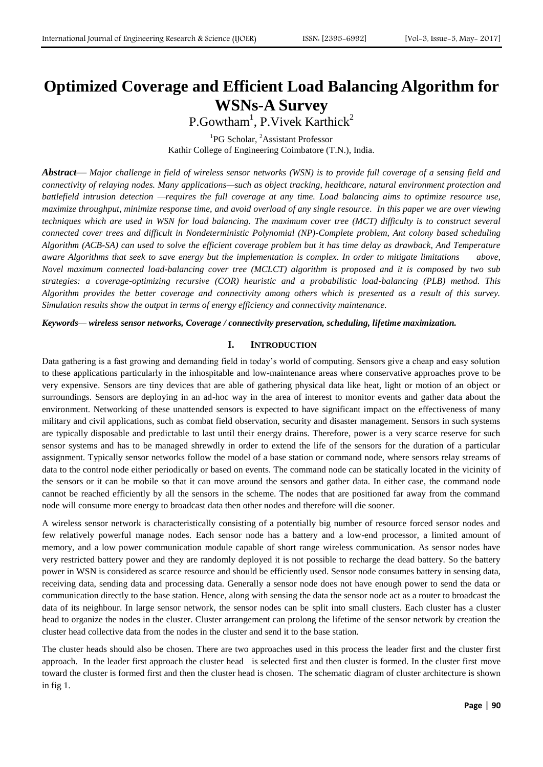# **Optimized Coverage and Efficient Load Balancing Algorithm for WSNs-A Survey**

P.Gowtham<sup>1</sup>, P.Vivek Karthick<sup>2</sup>

<sup>1</sup>PG Scholar, <sup>2</sup>Assistant Professor Kathir College of Engineering Coimbatore (T.N.), India.

*Abstract***—** *Major challenge in field of wireless sensor networks (WSN) is to provide full coverage of a sensing field and connectivity of relaying nodes. Many applications—such as object tracking, healthcare, natural environment protection and battlefield intrusion detection —requires the full coverage at any time. Load balancing aims to optimize resource use, maximize [throughput,](https://en.wikipedia.org/wiki/Throughput) minimize response time, and avoid overload of any single resource. In this paper we are over viewing techniques which are used in WSN for load balancing. The maximum cover tree (MCT) difficulty is to construct several connected cover trees and difficult in Nondeterministic Polynomial (NP)-Complete problem, Ant colony based scheduling Algorithm (ACB-SA) can used to solve the efficient coverage problem but it has time delay as drawback, And Temperature aware Algorithms that seek to save energy but the implementation is complex. In order to mitigate limitations above, Novel maximum connected load-balancing cover tree (MCLCT) algorithm is proposed and it is composed by two sub strategies: a coverage-optimizing recursive (COR) heuristic and a probabilistic load-balancing (PLB) method. This Algorithm provides the better coverage and connectivity among others which is presented as a result of this survey. Simulation results show the output in terms of energy efficiency and connectivity maintenance.*

*Keywords***—** *wireless sensor networks, Coverage / connectivity preservation, scheduling, lifetime maximization.*

## **I. INTRODUCTION**

Data gathering is a fast growing and demanding field in today's world of computing. Sensors give a cheap and easy solution to these applications particularly in the inhospitable and low-maintenance areas where conservative approaches prove to be very expensive. Sensors are tiny devices that are able of gathering physical data like heat, light or motion of an object or surroundings. Sensors are deploying in an ad-hoc way in the area of interest to monitor events and gather data about the environment. Networking of these unattended sensors is expected to have significant impact on the effectiveness of many military and civil applications, such as combat field observation, security and disaster management. Sensors in such systems are typically disposable and predictable to last until their energy drains. Therefore, power is a very scarce reserve for such sensor systems and has to be managed shrewdly in order to extend the life of the sensors for the duration of a particular assignment. Typically sensor networks follow the model of a base station or command node, where sensors relay streams of data to the control node either periodically or based on events. The command node can be statically located in the vicinity of the sensors or it can be mobile so that it can move around the sensors and gather data. In either case, the command node cannot be reached efficiently by all the sensors in the scheme. The nodes that are positioned far away from the command node will consume more energy to broadcast data then other nodes and therefore will die sooner.

A wireless sensor network is characteristically consisting of a potentially big number of resource forced sensor nodes and few relatively powerful manage nodes. Each sensor node has a battery and a low-end processor, a limited amount of memory, and a low power communication module capable of short range wireless communication. As sensor nodes have very restricted battery power and they are randomly deployed it is not possible to recharge the dead battery. So the battery power in WSN is considered as scarce resource and should be efficiently used. Sensor node consumes battery in sensing data, receiving data, sending data and processing data. Generally a sensor node does not have enough power to send the data or communication directly to the base station. Hence, along with sensing the data the sensor node act as a router to broadcast the data of its neighbour. In large sensor network, the sensor nodes can be split into small clusters. Each cluster has a cluster head to organize the nodes in the cluster. Cluster arrangement can prolong the lifetime of the sensor network by creation the cluster head collective data from the nodes in the cluster and send it to the base station.

The cluster heads should also be chosen. There are two approaches used in this process the leader first and the cluster first approach. In the leader first approach the cluster head is selected first and then cluster is formed. In the cluster first move toward the cluster is formed first and then the cluster head is chosen. The schematic diagram of cluster architecture is shown in fig 1.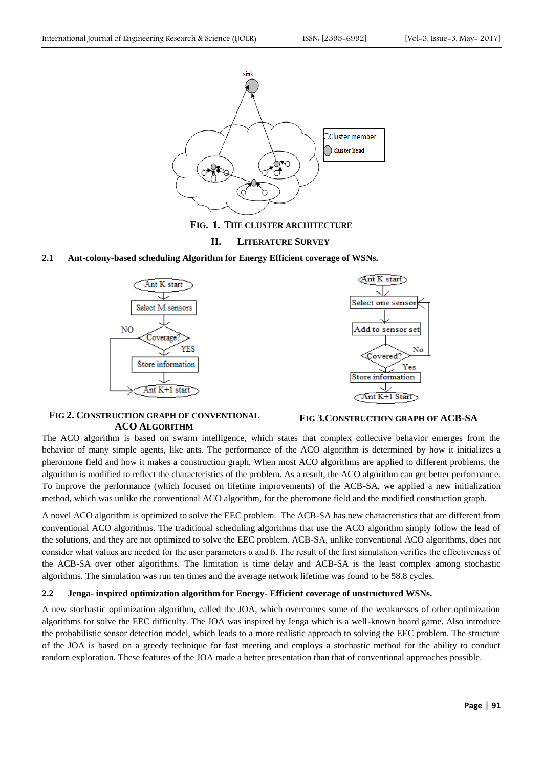

**FIG. 1. THE CLUSTER ARCHITECTURE**

## **II. LITERATURE SURVEY**

## **2.1 Ant-colony-based scheduling Algorithm for Energy Efficient coverage of WSNs.**





## **FIG 2. CONSTRUCTION GRAPH OF CONVENTIONAL ACO ALGORITHM**

## **FIG 3.CONSTRUCTION GRAPH OF ACB-SA**

The ACO algorithm is based on swarm intelligence, which states that complex collective behavior emerges from the behavior of many simple agents, like ants. The performance of the ACO algorithm is determined by how it initializes a pheromone field and how it makes a construction graph. When most ACO algorithms are applied to different problems, the algorithm is modified to reflect the characteristics of the problem. As a result, the ACO algorithm can get better performance. To improve the performance (which focused on lifetime improvements) of the ACB-SA, we applied a new initialization method, which was unlike the conventional ACO algorithm, for the pheromone field and the modified construction graph.

A novel ACO algorithm is optimized to solve the EEC problem. The ACB-SA has new characteristics that are different from conventional ACO algorithms. The traditional scheduling algorithms that use the ACO algorithm simply follow the lead of the solutions, and they are not optimized to solve the EEC problem. ACB-SA, unlike conventional ACO algorithms, does not consider what values are needed for the user parameters  $\alpha$  and  $\beta$ . The result of the first simulation verifies the effectiveness of the ACB-SA over other algorithms. The limitation is time delay and ACB-SA is the least complex among stochastic algorithms. The simulation was run ten times and the average network lifetime was found to be 58.8 cycles.

## **2.2 Jenga- inspired optimization algorithm for Energy- Efficient coverage of unstructured WSNs.**

A new stochastic optimization algorithm, called the JOA, which overcomes some of the weaknesses of other optimization algorithms for solve the EEC difficulty. The JOA was inspired by Jenga which is a well-known board game. Also introduce the probabilistic sensor detection model, which leads to a more realistic approach to solving the EEC problem. The structure of the JOA is based on a greedy technique for fast meeting and employs a stochastic method for the ability to conduct random exploration. These features of the JOA made a better presentation than that of conventional approaches possible.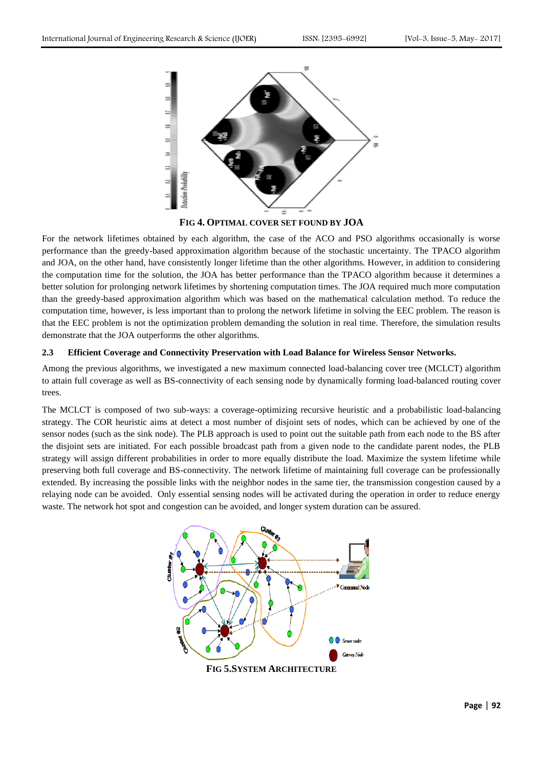

**FIG 4. OPTIMAL COVER SET FOUND BY JOA**

For the network lifetimes obtained by each algorithm, the case of the ACO and PSO algorithms occasionally is worse performance than the greedy-based approximation algorithm because of the stochastic uncertainty. The TPACO algorithm and JOA, on the other hand, have consistently longer lifetime than the other algorithms. However, in addition to considering the computation time for the solution, the JOA has better performance than the TPACO algorithm because it determines a better solution for prolonging network lifetimes by shortening computation times. The JOA required much more computation than the greedy-based approximation algorithm which was based on the mathematical calculation method. To reduce the computation time, however, is less important than to prolong the network lifetime in solving the EEC problem. The reason is that the EEC problem is not the optimization problem demanding the solution in real time. Therefore, the simulation results demonstrate that the JOA outperforms the other algorithms.

## **2.3 Efficient Coverage and Connectivity Preservation with Load Balance for Wireless Sensor Networks.**

Among the previous algorithms, we investigated a new maximum connected load-balancing cover tree (MCLCT) algorithm to attain full coverage as well as BS-connectivity of each sensing node by dynamically forming load-balanced routing cover trees.

The MCLCT is composed of two sub-ways: a coverage-optimizing recursive heuristic and a probabilistic load-balancing strategy. The COR heuristic aims at detect a most number of disjoint sets of nodes, which can be achieved by one of the sensor nodes (such as the sink node). The PLB approach is used to point out the suitable path from each node to the BS after the disjoint sets are initiated. For each possible broadcast path from a given node to the candidate parent nodes, the PLB strategy will assign different probabilities in order to more equally distribute the load. Maximize the system lifetime while preserving both full coverage and BS-connectivity. The network lifetime of maintaining full coverage can be professionally extended. By increasing the possible links with the neighbor nodes in the same tier, the transmission congestion caused by a relaying node can be avoided. Only essential sensing nodes will be activated during the operation in order to reduce energy waste. The network hot spot and congestion can be avoided, and longer system duration can be assured.

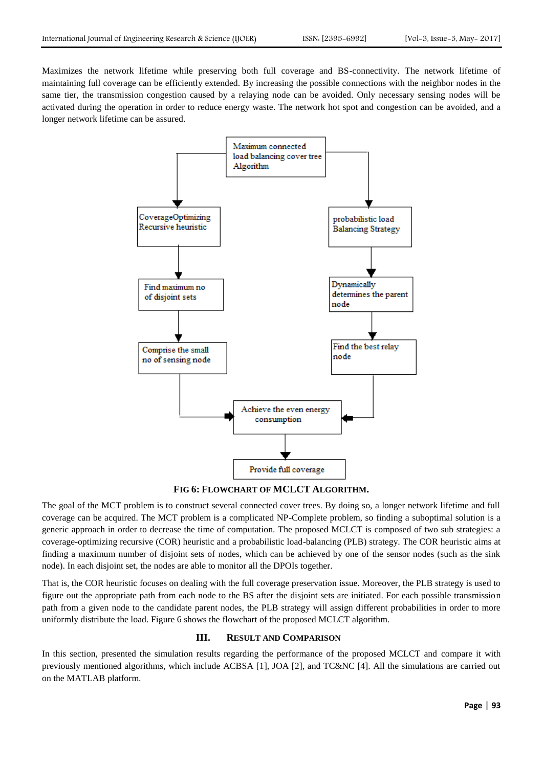Maximizes the network lifetime while preserving both full coverage and BS-connectivity. The network lifetime of maintaining full coverage can be efficiently extended. By increasing the possible connections with the neighbor nodes in the same tier, the transmission congestion caused by a relaying node can be avoided. Only necessary sensing nodes will be activated during the operation in order to reduce energy waste. The network hot spot and congestion can be avoided, and a longer network lifetime can be assured.



**FIG 6: FLOWCHART OF MCLCT ALGORITHM.**

The goal of the MCT problem is to construct several connected cover trees. By doing so, a longer network lifetime and full coverage can be acquired. The MCT problem is a complicated NP-Complete problem, so finding a suboptimal solution is a generic approach in order to decrease the time of computation. The proposed MCLCT is composed of two sub strategies: a coverage-optimizing recursive (COR) heuristic and a probabilistic load-balancing (PLB) strategy. The COR heuristic aims at finding a maximum number of disjoint sets of nodes, which can be achieved by one of the sensor nodes (such as the sink node). In each disjoint set, the nodes are able to monitor all the DPOIs together.

That is, the COR heuristic focuses on dealing with the full coverage preservation issue. Moreover, the PLB strategy is used to figure out the appropriate path from each node to the BS after the disjoint sets are initiated. For each possible transmission path from a given node to the candidate parent nodes, the PLB strategy will assign different probabilities in order to more uniformly distribute the load. Figure 6 shows the flowchart of the proposed MCLCT algorithm.

## **III. RESULT AND COMPARISON**

In this section, presented the simulation results regarding the performance of the proposed MCLCT and compare it with previously mentioned algorithms, which include ACBSA [1], JOA [2], and TC&NC [4]. All the simulations are carried out on the MATLAB platform.